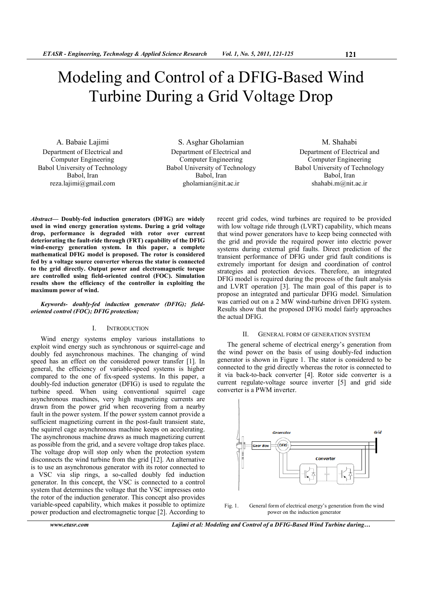# Modeling and Control of a DFIG-Based Wind Turbine During a Grid Voltage Drop

A. Babaie Lajimi Department of Electrical and Computer Engineering Babol University of Technology Babol, Iran reza.lajimi@gmail.com

S. Asghar Gholamian Department of Electrical and Computer Engineering Babol University of Technology Babol, Iran gholamian@nit.ac.ir

M. Shahabi Department of Electrical and Computer Engineering Babol University of Technology Babol, Iran shahabi.m@nit.ac.ir

*Abstract***— Doubly-fed induction generators (DFIG) are widely used in wind energy generation systems. During a grid voltage drop, performance is degraded with rotor over current deteriorating the fault-ride through (FRT) capability of the DFIG wind-energy generation system. In this paper, a complete mathematical DFIG model is proposed. The rotor is considered fed by a voltage source converter whereas the stator is connected to the grid directly. Output power and electromagnetic torque are controlled using field-oriented control (FOC). Simulation results show the efficiency of the controller in exploiting the maximum power of wind.** 

## *Keywords- doubly-fed induction generator (DFIG); fieldoriented control (FOC); DFIG protection;*

# I. INTRODUCTION

Wind energy systems employ various installations to exploit wind energy such as synchronous or squirrel-cage and doubly fed asynchronous machines. The changing of wind speed has an effect on the considered power transfer [1]. In general, the efficiency of variable-speed systems is higher compared to the one of fix-speed systems. In this paper, a doubly-fed induction generator (DFIG) is used to regulate the turbine speed. When using conventional squirrel cage asynchronous machines, very high magnetizing currents are drawn from the power grid when recovering from a nearby fault in the power system. If the power system cannot provide a sufficient magnetizing current in the post-fault transient state, the squirrel cage asynchronous machine keeps on accelerating. The asynchronous machine draws as much magnetizing current as possible from the grid, and a severe voltage drop takes place. The voltage drop will stop only when the protection system disconnects the wind turbine from the grid [12]. An alternative is to use an asynchronous generator with its rotor connected to a VSC via slip rings, a so-called doubly fed induction generator. In this concept, the VSC is connected to a control system that determines the voltage that the VSC impresses onto the rotor of the induction generator. This concept also provides variable-speed capability, which makes it possible to optimize power production and electromagnetic torque [2]. According to

*www.etasr.com Lajimi et al: Modeling and Control of a DFIG-Based Wind Turbine during…* 

recent grid codes, wind turbines are required to be provided with low voltage ride through (LVRT) capability, which means that wind power generators have to keep being connected with the grid and provide the required power into electric power systems during external grid faults. Direct prediction of the transient performance of DFIG under grid fault conditions is extremely important for design and coordination of control strategies and protection devices. Therefore, an integrated DFIG model is required during the process of the fault analysis and LVRT operation [3]. The main goal of this paper is to propose an integrated and particular DFIG model. Simulation was carried out on a 2 MW wind-turbine driven DFIG system. Results show that the proposed DFIG model fairly approaches the actual DFIG.

## II. GENERAL FORM OF GENERATION SYSTEM

The general scheme of electrical energy's generation from the wind power on the basis of using doubly-fed induction generator is shown in Figure 1. The stator is considered to be connected to the grid directly whereas the rotor is connected to it via back-to-back converter [4]. Rotor side converter is a current regulate-voltage source inverter [5] and grid side converter is a PWM inverter.

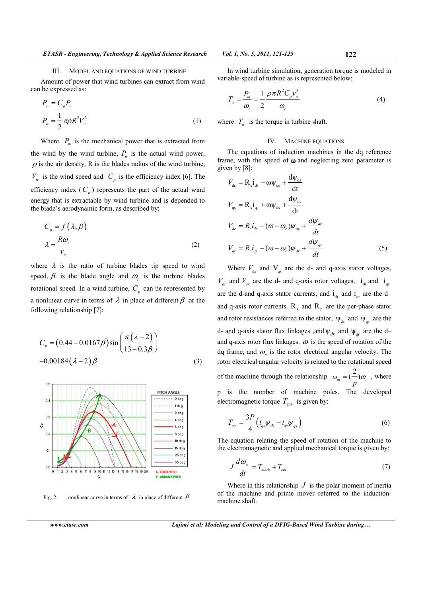Amount of power that wind turbines can extract from wind can be expressed as:

$$
P_m = C_p P_w
$$
  
\n
$$
P_w = \frac{1}{2} \pi \rho R^2 V_w^3
$$
\n(1)

Where  $P_m$  is the mechanical power that is extracted from the wind by the wind turbine,  $P_w$  is the actual wind power,  $\rho$  is the air density, R is the blades radius of the wind turbine,  $V_w$  is the wind speed and  $C_p$  is the efficiency index [6]. The efficiency index  $(C_p)$  represents the part of the actual wind energy that is extractable by wind turbine and is depended to the blade's aerodynamic form, as described by:

$$
C_p = f(\lambda, \beta)
$$
  

$$
\lambda = \frac{R\omega_i}{v_w}
$$
 (2)

where  $\lambda$  is the ratio of turbine blades tip speed to wind speed,  $\beta$  is the blade angle and  $\omega_t$  is the turbine blades rotational speed. In a wind turbine,  $C_p$  can be represented by a nonlinear curve in terms of  $\lambda$  in place of different  $\beta$  or the following relationship [7]:

$$
C_p = (0.44 - 0.0167\beta)\sin\left(\frac{\pi(\lambda - 2)}{13 - 0.3\beta}\right)
$$
  
-0.00184 $(\lambda - 2)\beta$  (3)



Fig. 2. nonlinear curve in terms of  $\lambda$  in place of different  $\beta$ 

In wind turbine simulation, generation torque is modeled in variable-speed of turbine as is represented below:

$$
T_a = \frac{P_m}{\omega_t} = \frac{1}{2} \frac{\rho \pi R^2 C_p v_w^3}{\omega_t}
$$
 (4)

where  $T_a$  is the torque in turbine shaft.

## IV. MACHINE EQUATIONS

The equations of induction machines in the dq reference frame, with the speed of  $\omega$  and neglecting zero parameter is given by [8]:

$$
V_{ds} = R_s \dot{I}_{ds} - \omega \psi_{qs} + \frac{d\psi_{ds}}{dt}
$$
  
\n
$$
V_{qs} = R_s \dot{I}_{qs} + \omega \psi_{ds} + \frac{d\psi_{qs}}{dt}
$$
  
\n
$$
V_{dr} = R_r \dot{I}_{dr} - (\omega - \omega_r) \psi_{qr} + \frac{d\psi_{dr}}{dt}
$$
  
\n
$$
V_{qr} = R_r \dot{I}_{qr} - (\omega - \omega_r) \psi_{dr} + \frac{d\psi_{qr}}{dt}
$$
 (5)

Where  $V_{ds}$  and  $V_{qs}$  are the d- and q-axis stator voltages,  $V_{dr}$  and  $V_{qr}$  are the d- and q-axis rotor voltages,  $i_{ds}$  and  $i_{qs}$ are the d-and q-axis stator currents, and  $i_{dr}$  and  $i_{qr}$  are the dand q-axis rotor currents.  $R_s$  and  $R_r$  are the per-phase stator and rotor resistances referred to the stator,  $\Psi_{ds}$  and  $\Psi_{qs}$  are the d- and q-axis stator flux linkages , and  $\Psi_{dr}$  and  $\Psi_{qr}$  are the dand q-axis rotor flux linkages.  $\omega$  is the speed of rotation of the dq frame, and  $\omega_r$  is the rotor electrical angular velocity. The rotor electrical angular velocity is related to the rotational speed of the machine through the relationship  $\omega_m = \left(\frac{2}{p}\right)\omega_r$  $\omega_{m} = (-\omega) \omega_{r}$ , where p is the number of machine poles. The developed electromagnetic torque *Tem* is given by:

$$
T_{em} = \frac{3P}{4} \left( i_{qs} \psi_{ds} - i_{ds} \psi_{qs} \right)
$$
 (6)

The equation relating the speed of rotation of the machine to the electromagnetic and applied mechanical torque is given by:

$$
J\frac{d\omega_m}{dt} = T_{mech} + T_{em} \tag{7}
$$

Where in this relationship  $J$  is the polar moment of inertia of the machine and prime mover referred to the inductionmachine shaft.

*www.etasr.com Lajimi et al: Modeling and Control of a DFIG-Based Wind Turbine during…*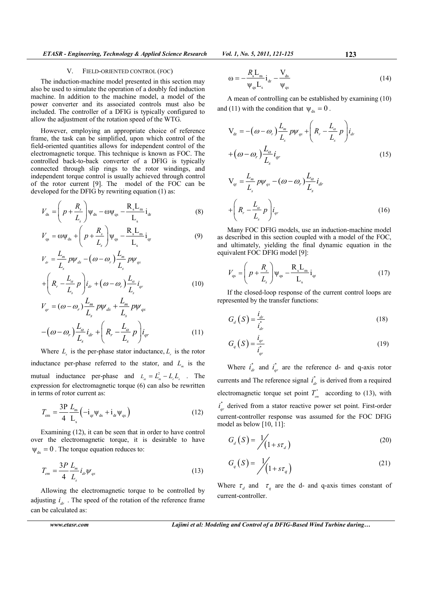*ETASR - Engineering, Technology & Applied Science Research Vol. 1, No. 5, 2011, 121-125* 123

## V. FIELD-ORIENTED CONTROL (FOC)

The induction-machine model presented in this section may also be used to simulate the operation of a doubly fed induction machine. In addition to the machine model, a model of the power converter and its associated controls must also be included. The controller of a DFIG is typically configured to allow the adjustment of the rotation speed of the WTG.

However, employing an appropriate choice of reference frame, the task can be simplified, upon which control of the field-oriented quantities allows for independent control of the electromagnetic torque. This technique is known as FOC. The controlled back-to-back converter of a DFIG is typically connected through slip rings to the rotor windings, and independent torque control is usually achieved through control of the rotor current [9]. The model of the FOC can be developed for the DFIG by rewriting equation (1) as:

$$
V_{ds} = \left(p + \frac{R_s}{L_s}\right)\psi_{ds} - \omega\psi_{qs} - \frac{R_s L_m}{L_s}i_{dr}
$$
 (8)

$$
V_{\text{qs}} = \omega \psi_{\text{ds}} + \left( p + \frac{R_s}{L_s} \right) \psi_{\text{qs}} - \frac{R_s L_{\text{m}}}{L_s} i_{\text{qr}} \tag{9}
$$

$$
V_{a} = \frac{L_m}{L_s} p \psi_{ds} - (\omega - \omega_r) \frac{L_m}{L_s} p \psi_{qs}
$$
  
+ 
$$
\left(R_r - \frac{L_\alpha}{L_s} p\right) i_{dr} + (\omega - \omega_r) \frac{L_\alpha}{L_s} i_{qr}
$$
 (10)

$$
V_{qr} = (\omega - \omega_r) \frac{L_m}{L_s} p \psi_{ds} + \frac{L_m}{L_s} p \psi_{qs}
$$

$$
-(\omega - \omega_r) \frac{L_\alpha}{L_s} i_{dr} + \left(R_r - \frac{L_\alpha}{L_s} p\right) i_{qr}
$$
(11)

Where  $L<sub>s</sub>$  is the per-phase stator inductance,  $L<sub>r</sub>$  is the rotor inductance per-phase referred to the stator, and  $L_m$  is the mutual inductance per-phase and  $L_{\alpha} = L_{\alpha}^2 - L_{\alpha}^2$ . The expression for electromagnetic torque (6) can also be rewritten in terms of rotor current as:

$$
T_{\rm em} = \frac{3P}{4} \frac{L_{\rm m}}{L_{\rm s}} \left( -i_{\rm qr} \psi_{\rm ds} + i_{\rm dr} \psi_{\rm qs} \right)
$$
 (12)

Examining (12), it can be seen that in order to have control over the electromagnetic torque, it is desirable to have  $\Psi_{ds} = 0$ . The torque equation reduces to:

$$
T_{em} = \frac{3P}{4} \frac{L_m}{L_s} i_{dr} \psi_{qs}
$$
 (13)

Allowing the electromagnetic torque to be controlled by adjusting  $i_{dr}$ . The speed of the rotation of the reference frame can be calculated as:

 $\frac{s-m}{r}i_{dr} - \frac{d}{dr}$  $qs - s$   $\forall qs$  $\omega = -\frac{R_{\rm s}L_{\rm m}}{I_{\rm dr}}\dot{1}_{\rm dr} - \frac{V_{\rm s}}{I_{\rm dr}}$  $\Psi_{\alpha s}L_s$ <sup>ar</sup>  $\Psi_s$  $=-\frac{R_{\rm s}L_{\rm m}}{R_{\rm s}}i_{\rm dr}-\frac{V_{\rm ds}}{R_{\rm s}}$  (14)

A mean of controlling can be established by examining (10) and (11) with the condition that  $\Psi_{ds} = 0$ .

$$
V_{dr} = -(\omega - \omega_r) \frac{L_m}{L_s} p \psi_{qs} + \left(R_r - \frac{L_\alpha}{L_s} p\right) i_{dr}
$$
  
+  $(\omega - \omega_r) \frac{L_\alpha}{L_s} i_{qr}$  (15)  

$$
V_{qr} = \frac{L_m}{L_s} p \psi_{qs} - (\omega - \omega_r) \frac{L_\alpha}{L_s} i_{dr}
$$

$$
+\left(R_r - \frac{L_\alpha}{L_s}p\right)\dot{I}_{qr}
$$
\n(16)

Many FOC DFIG models, use an induction-machine model as described in this section coupled with a model of the FOC, and ultimately, yielding the final dynamic equation in the equivalent FOC DFIG model [9]:

$$
V_{\rm qs} = \left( p + \frac{R_s}{L_s} \right) \Psi_{\rm qs} - \frac{R_s L_{\rm m}}{L_s} i_{\rm qr} \tag{17}
$$

If the closed-loop response of the current control loops are represented by the transfer functions:

$$
G_{d}\left(S\right) = \frac{i_{dr}}{i_{dr}^{*}}\tag{18}
$$

$$
G_q(S) = \frac{i_{qr}}{i_{qr}^*}
$$
 (19)

Where  $i_{dr}^*$  and  $i_{qr}^*$  are the reference d- and q-axis rotor currents and The reference signal  $i_{dr}^*$  is derived from a required electromagnetic torque set point  $T_{em}^*$  according to (13), with \*  $\vec{r}_{qr}$  derived from a stator reactive power set point. First-order current-controller response was assumed for the FOC DFIG model as below  $[10, 11]$ :

$$
G_{d}\left(S\right) = \frac{1}{\sqrt{\left(1 + s\tau_{d}\right)}}\tag{20}
$$

$$
G_q(S) = \frac{1}{\sqrt{1 + s\tau_q}}
$$
\n(21)

Where  $\tau_d$  and  $\tau_q$  are the d- and q-axis times constant of current-controller.

*www.etasr.com Lajimi et al: Modeling and Control of a DFIG-Based Wind Turbine during…*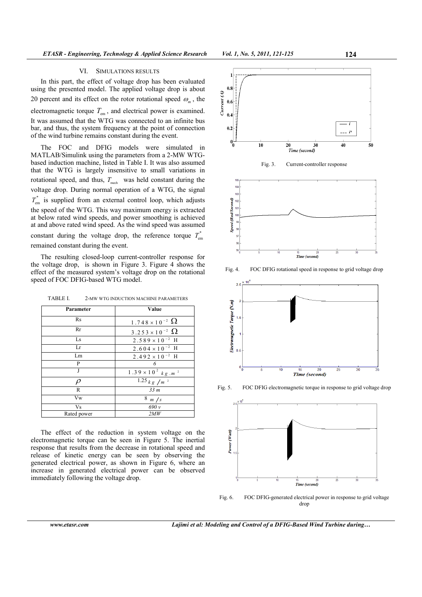#### VI. SIMULATIONS RESULTS

In this part, the effect of voltage drop has been evaluated using the presented model. The applied voltage drop is about 20 percent and its effect on the rotor rotational speed  $\omega_m$ , the

electromagnetic torque  $T_{em}$ , and electrical power is examined. It was assumed that the WTG was connected to an infinite bus bar, and thus, the system frequency at the point of connection of the wind turbine remains constant during the event.

The FOC and DFIG models were simulated in MATLAB/Simulink using the parameters from a 2-MW WTGbased induction machine, listed in Table I. It was also assumed that the WTG is largely insensitive to small variations in rotational speed, and thus,  $T_{\text{mech}}$  was held constant during the voltage drop. During normal operation of a WTG, the signal \*  $T_{\text{em}}$  is supplied from an external control loop, which adjusts the speed of the WTG. This way maximum energy is extracted at below rated wind speeds, and power smoothing is achieved at and above rated wind speed. As the wind speed was assumed constant during the voltage drop, the reference torque  $T_{\text{er}}^*$  $T_{\rm em}$ remained constant during the event.

The resulting closed-loop current-controller response for the voltage drop, is shown in Figure 3. Figure 4 shows the effect of the measured system's voltage drop on the rotational speed of FOC DFIG-based WTG model.

| Parameter   | Value                             |
|-------------|-----------------------------------|
| <b>Rs</b>   | $1.748 \times 10^{-2}$ $\Omega$   |
| Rr          | 3.253 × 10 <sup>-2</sup> $\Omega$ |
| Ls          | $2.589 \times 10^{-2}$ H          |
| Lr          | $2.604 \times 10^{-2}$ H          |
| Lm          | $2.492\times10^{-2}$ H            |
| P           | 6                                 |
| J           | $1.39\times10^2$ $kg$ $m$ $^2$    |
| $\rho$      | $1.25$ k g /m <sup>2</sup>        |
| R           | 33 <sub>m</sub>                   |
| Vw          | $8 \frac{m}{s}$                   |
| Vs          | 690v                              |
| Rated power | 2MW                               |

TABLE I. 2-MW WTG INDUCTION MACHINE PARAMETERS

The effect of the reduction in system voltage on the electromagnetic torque can be seen in Figure 5. The inertial response that results from the decrease in rotational speed and release of kinetic energy can be seen by observing the generated electrical power, as shown in Figure 6, where an increase in generated electrical power can be observed immediately following the voltage drop.





Fig. 4. FOC DFIG rotational speed in response to grid voltage drop



Fig. 5. FOC DFIG electromagnetic torque in response to grid voltage drop



Fig. 6. FOC DFIG-generated electrical power in response to grid voltage drop

*www.etasr.com Lajimi et al: Modeling and Control of a DFIG-Based Wind Turbine during…*